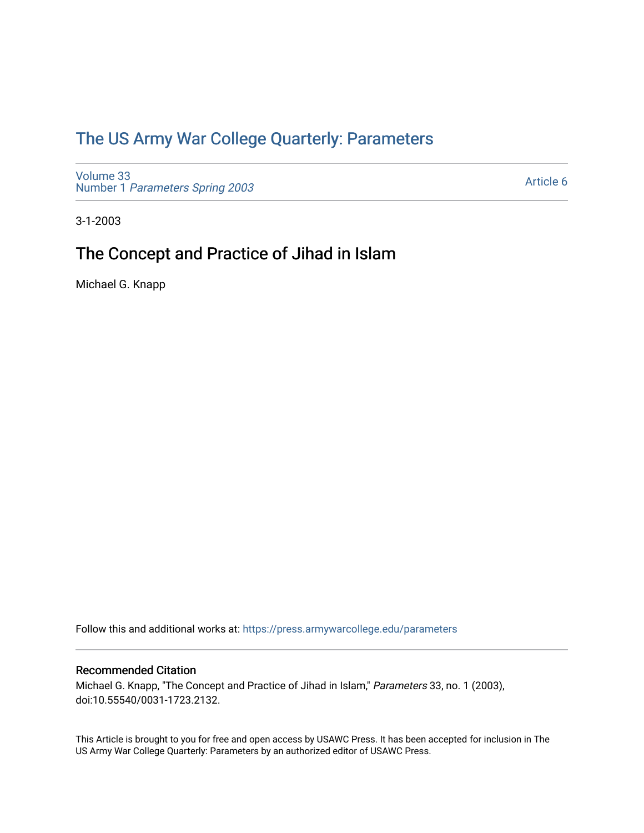# [The US Army War College Quarterly: Parameters](https://press.armywarcollege.edu/parameters)

[Volume 33](https://press.armywarcollege.edu/parameters/vol33) Number 1 [Parameters Spring 2003](https://press.armywarcollege.edu/parameters/vol33/iss1) 

[Article 6](https://press.armywarcollege.edu/parameters/vol33/iss1/6) 

3-1-2003

# The Concept and Practice of Jihad in Islam

Michael G. Knapp

Follow this and additional works at: [https://press.armywarcollege.edu/parameters](https://press.armywarcollege.edu/parameters?utm_source=press.armywarcollege.edu%2Fparameters%2Fvol33%2Fiss1%2F6&utm_medium=PDF&utm_campaign=PDFCoverPages) 

# Recommended Citation

Michael G. Knapp, "The Concept and Practice of Jihad in Islam," Parameters 33, no. 1 (2003), doi:10.55540/0031-1723.2132.

This Article is brought to you for free and open access by USAWC Press. It has been accepted for inclusion in The US Army War College Quarterly: Parameters by an authorized editor of USAWC Press.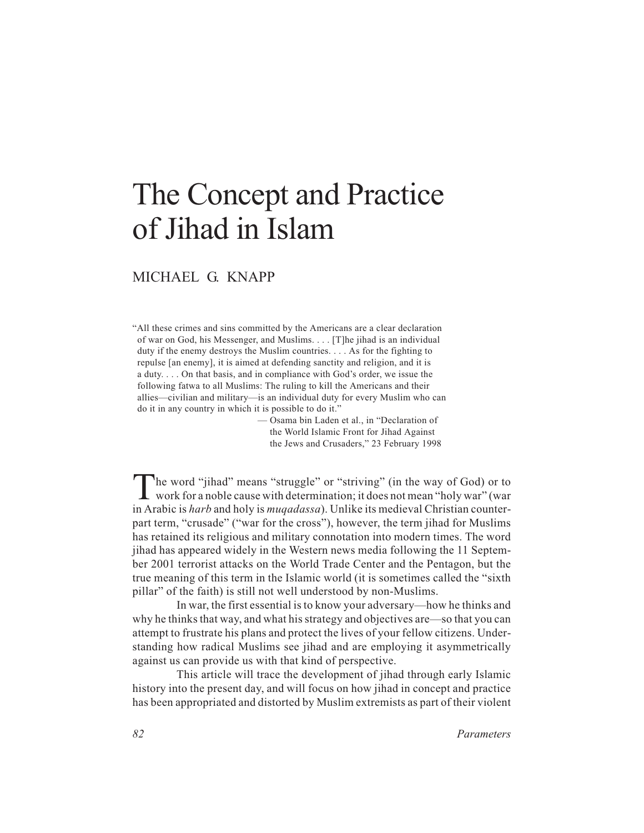# The Concept and Practice of Jihad in Islam

# MICHAEL G. KNAPP

"All these crimes and sins committed by the Americans are a clear declaration of war on God, his Messenger, and Muslims.... [T]he jihad is an individual duty if the enemy destroys the Muslim countries. . . . As for the fighting to repulse [an enemy], it is aimed at defending sanctity and religion, and it is a duty. . . . On that basis, and in compliance with God's order, we issue the following fatwa to all Muslims: The ruling to kill the Americans and their allies—civilian and military—is an individual duty for every Muslim who can do it in any country in which it is possible to do it."

> — Osama bin Laden et al., in "Declaration of the World Islamic Front for Jihad Against the Jews and Crusaders," 23 February 1998

The word "jihad" means "struggle" or "striving" (in the way of God) or to work for a noble cause with determination; it does not mean "holy war" (war in Arabic is *harb* and holy is *muqadassa*). Unlike its medieval Christian counterpart term, "crusade" ("war for the cross"), however, the term jihad for Muslims has retained its religious and military connotation into modern times. The word jihad has appeared widely in the Western news media following the 11 September 2001 terrorist attacks on the World Trade Center and the Pentagon, but the true meaning of this term in the Islamic world (it is sometimes called the "sixth pillar" of the faith) is still not well understood by non-Muslims.

In war, the first essential is to know your adversary—how he thinks and why he thinks that way, and what his strategy and objectives are—so that you can attempt to frustrate his plans and protect the lives of your fellow citizens. Understanding how radical Muslims see jihad and are employing it asymmetrically against us can provide us with that kind of perspective.

This article will trace the development of jihad through early Islamic history into the present day, and will focus on how jihad in concept and practice has been appropriated and distorted by Muslim extremists as part of their violent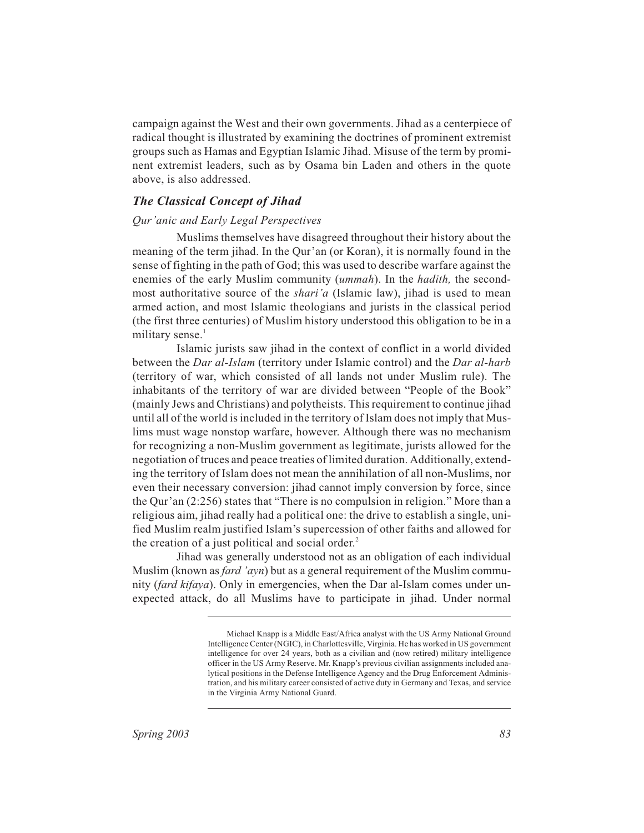campaign against the West and their own governments. Jihad as a centerpiece of radical thought is illustrated by examining the doctrines of prominent extremist groups such as Hamas and Egyptian Islamic Jihad. Misuse of the term by prominent extremist leaders, such as by Osama bin Laden and others in the quote above, is also addressed.

#### *The Classical Concept of Jihad*

#### *Qur'anic and Early Legal Perspectives*

Muslims themselves have disagreed throughout their history about the meaning of the term jihad. In the Qur'an (or Koran), it is normally found in the sense of fighting in the path of God; this was used to describe warfare against the enemies of the early Muslim community (*ummah*). In the *hadith,* the secondmost authoritative source of the *shari'a* (Islamic law), jihad is used to mean armed action, and most Islamic theologians and jurists in the classical period (the first three centuries) of Muslim history understood this obligation to be in a military sense. $<sup>1</sup>$ </sup>

Islamic jurists saw jihad in the context of conflict in a world divided between the *Dar al-Islam* (territory under Islamic control) and the *Dar al-harb* (territory of war, which consisted of all lands not under Muslim rule). The inhabitants of the territory of war are divided between "People of the Book" (mainly Jews and Christians) and polytheists. This requirement to continue jihad until all of the world is included in the territory of Islam does not imply that Muslims must wage nonstop warfare, however. Although there was no mechanism for recognizing a non-Muslim government as legitimate, jurists allowed for the negotiation of truces and peace treaties of limited duration. Additionally, extending the territory of Islam does not mean the annihilation of all non-Muslims, nor even their necessary conversion: jihad cannot imply conversion by force, since the Qur'an (2:256) states that "There is no compulsion in religion." More than a religious aim, jihad really had a political one: the drive to establish a single, unified Muslim realm justified Islam's supercession of other faiths and allowed for the creation of a just political and social order. $<sup>2</sup>$ </sup>

Jihad was generally understood not as an obligation of each individual Muslim (known as *fard 'ayn*) but as a general requirement of the Muslim community (*fard kifaya*). Only in emergencies, when the Dar al-Islam comes under unexpected attack, do all Muslims have to participate in jihad. Under normal

Michael Knapp is a Middle East/Africa analyst with the US Army National Ground Intelligence Center (NGIC), in Charlottesville, Virginia. He has worked in US government intelligence for over 24 years, both as a civilian and (now retired) military intelligence officer in the US Army Reserve. Mr. Knapp's previous civilian assignments included analytical positions in the Defense Intelligence Agency and the Drug Enforcement Administration, and his military career consisted of active duty in Germany and Texas, and service in the Virginia Army National Guard.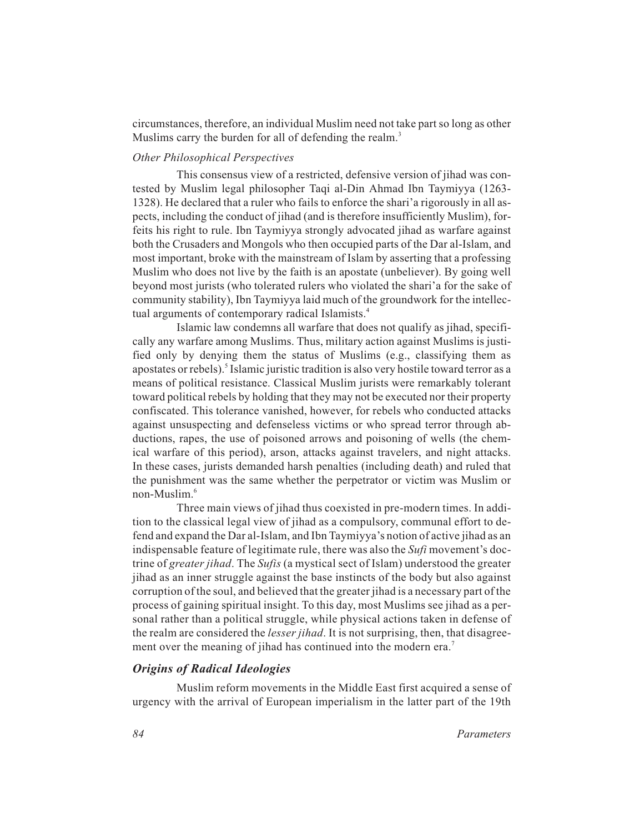circumstances, therefore, an individual Muslim need not take part so long as other Muslims carry the burden for all of defending the realm.<sup>3</sup>

# *Other Philosophical Perspectives*

This consensus view of a restricted, defensive version of jihad was contested by Muslim legal philosopher Taqi al-Din Ahmad Ibn Taymiyya (1263- 1328). He declared that a ruler who fails to enforce the shari'a rigorously in all aspects, including the conduct of jihad (and is therefore insufficiently Muslim), forfeits his right to rule. Ibn Taymiyya strongly advocated jihad as warfare against both the Crusaders and Mongols who then occupied parts of the Dar al-Islam, and most important, broke with the mainstream of Islam by asserting that a professing Muslim who does not live by the faith is an apostate (unbeliever). By going well beyond most jurists (who tolerated rulers who violated the shari'a for the sake of community stability), Ibn Taymiyya laid much of the groundwork for the intellectual arguments of contemporary radical Islamists.<sup>4</sup>

Islamic law condemns all warfare that does not qualify as jihad, specifically any warfare among Muslims. Thus, military action against Muslims is justified only by denying them the status of Muslims (e.g., classifying them as apostates or rebels).<sup>5</sup> Islamic juristic tradition is also very hostile toward terror as a means of political resistance. Classical Muslim jurists were remarkably tolerant toward political rebels by holding that they may not be executed nor their property confiscated. This tolerance vanished, however, for rebels who conducted attacks against unsuspecting and defenseless victims or who spread terror through abductions, rapes, the use of poisoned arrows and poisoning of wells (the chemical warfare of this period), arson, attacks against travelers, and night attacks. In these cases, jurists demanded harsh penalties (including death) and ruled that the punishment was the same whether the perpetrator or victim was Muslim or non-Muslim.6

Three main views of jihad thus coexisted in pre-modern times. In addition to the classical legal view of jihad as a compulsory, communal effort to defend and expand the Dar al-Islam, and Ibn Taymiyya's notion of active jihad as an indispensable feature of legitimate rule, there was also the *Sufi* movement's doctrine of *greater jihad*. The *Sufis* (a mystical sect of Islam) understood the greater jihad as an inner struggle against the base instincts of the body but also against corruption of the soul, and believed that the greater jihad is a necessary part of the process of gaining spiritual insight. To this day, most Muslims see jihad as a personal rather than a political struggle, while physical actions taken in defense of the realm are considered the *lesser jihad*. It is not surprising, then, that disagreement over the meaning of jihad has continued into the modern era.<sup>7</sup>

# *Origins of Radical Ideologies*

Muslim reform movements in the Middle East first acquired a sense of urgency with the arrival of European imperialism in the latter part of the 19th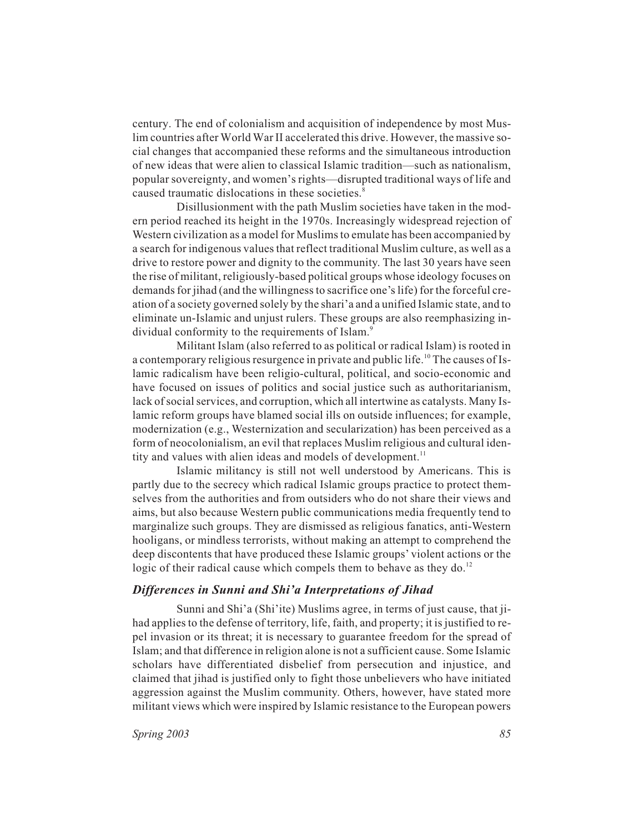century. The end of colonialism and acquisition of independence by most Muslim countries after World War II accelerated this drive. However, the massive social changes that accompanied these reforms and the simultaneous introduction of new ideas that were alien to classical Islamic tradition—such as nationalism, popular sovereignty, and women's rights—disrupted traditional ways of life and caused traumatic dislocations in these societies.<sup>8</sup>

Disillusionment with the path Muslim societies have taken in the modern period reached its height in the 1970s. Increasingly widespread rejection of Western civilization as a model for Muslims to emulate has been accompanied by a search for indigenous values that reflect traditional Muslim culture, as well as a drive to restore power and dignity to the community. The last 30 years have seen the rise of militant, religiously-based political groups whose ideology focuses on demands for jihad (and the willingness to sacrifice one's life) for the forceful creation of a society governed solely by the shari'a and a unified Islamic state, and to eliminate un-Islamic and unjust rulers. These groups are also reemphasizing individual conformity to the requirements of Islam.<sup>9</sup>

Militant Islam (also referred to as political or radical Islam) is rooted in a contemporary religious resurgence in private and public life.<sup>10</sup> The causes of Islamic radicalism have been religio-cultural, political, and socio-economic and have focused on issues of politics and social justice such as authoritarianism, lack of social services, and corruption, which all intertwine as catalysts. Many Islamic reform groups have blamed social ills on outside influences; for example, modernization (e.g., Westernization and secularization) has been perceived as a form of neocolonialism, an evil that replaces Muslim religious and cultural identity and values with alien ideas and models of development.<sup>11</sup>

Islamic militancy is still not well understood by Americans. This is partly due to the secrecy which radical Islamic groups practice to protect themselves from the authorities and from outsiders who do not share their views and aims, but also because Western public communications media frequently tend to marginalize such groups. They are dismissed as religious fanatics, anti-Western hooligans, or mindless terrorists, without making an attempt to comprehend the deep discontents that have produced these Islamic groups' violent actions or the logic of their radical cause which compels them to behave as they do.<sup>12</sup>

# *Differences in Sunni and Shi'a Interpretations of Jihad*

Sunni and Shi'a (Shi'ite) Muslims agree, in terms of just cause, that jihad applies to the defense of territory, life, faith, and property; it is justified to repel invasion or its threat; it is necessary to guarantee freedom for the spread of Islam; and that difference in religion alone is not a sufficient cause. Some Islamic scholars have differentiated disbelief from persecution and injustice, and claimed that jihad is justified only to fight those unbelievers who have initiated aggression against the Muslim community. Others, however, have stated more militant views which were inspired by Islamic resistance to the European powers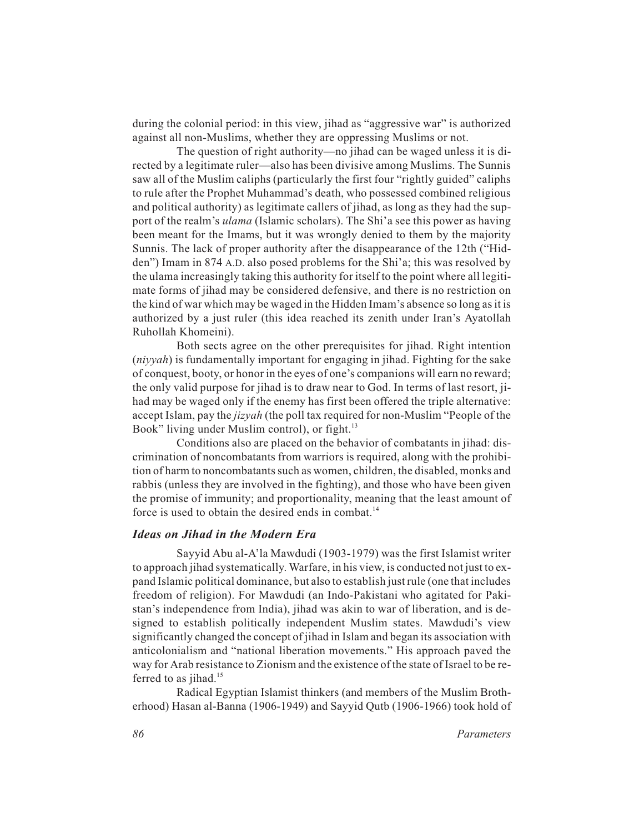during the colonial period: in this view, jihad as "aggressive war" is authorized against all non-Muslims, whether they are oppressing Muslims or not.

The question of right authority—no jihad can be waged unless it is directed by a legitimate ruler—also has been divisive among Muslims. The Sunnis saw all of the Muslim caliphs (particularly the first four "rightly guided" caliphs to rule after the Prophet Muhammad's death, who possessed combined religious and political authority) as legitimate callers of jihad, as long as they had the support of the realm's *ulama* (Islamic scholars). The Shi'a see this power as having been meant for the Imams, but it was wrongly denied to them by the majority Sunnis. The lack of proper authority after the disappearance of the 12th ("Hidden") Imam in 874 A.D. also posed problems for the Shi'a; this was resolved by the ulama increasingly taking this authority for itself to the point where all legitimate forms of jihad may be considered defensive, and there is no restriction on the kind of war which may be waged in the Hidden Imam's absence so long as it is authorized by a just ruler (this idea reached its zenith under Iran's Ayatollah Ruhollah Khomeini).

Both sects agree on the other prerequisites for jihad. Right intention (*niyyah*) is fundamentally important for engaging in jihad. Fighting for the sake of conquest, booty, or honor in the eyes of one's companions will earn no reward; the only valid purpose for jihad is to draw near to God. In terms of last resort, jihad may be waged only if the enemy has first been offered the triple alternative: accept Islam, pay the *jizyah* (the poll tax required for non-Muslim "People of the Book" living under Muslim control), or fight. $^{13}$ 

Conditions also are placed on the behavior of combatants in jihad: discrimination of noncombatants from warriors is required, along with the prohibition of harm to noncombatants such as women, children, the disabled, monks and rabbis (unless they are involved in the fighting), and those who have been given the promise of immunity; and proportionality, meaning that the least amount of force is used to obtain the desired ends in combat.<sup>14</sup>

# *Ideas on Jihad in the Modern Era*

Sayyid Abu al-A'la Mawdudi (1903-1979) was the first Islamist writer to approach jihad systematically. Warfare, in his view, is conducted not just to expand Islamic political dominance, but also to establish just rule (one that includes freedom of religion). For Mawdudi (an Indo-Pakistani who agitated for Pakistan's independence from India), jihad was akin to war of liberation, and is designed to establish politically independent Muslim states. Mawdudi's view significantly changed the concept of jihad in Islam and began its association with anticolonialism and "national liberation movements." His approach paved the way for Arab resistance to Zionism and the existence of the state of Israel to be referred to as jihad.<sup>15</sup>

Radical Egyptian Islamist thinkers (and members of the Muslim Brotherhood) Hasan al-Banna (1906-1949) and Sayyid Qutb (1906-1966) took hold of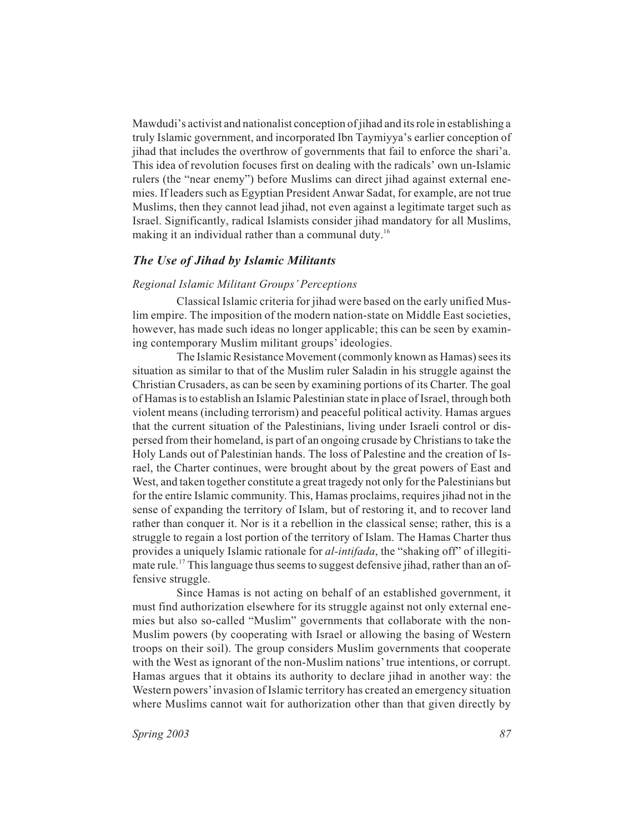Mawdudi's activist and nationalist conception of jihad and its role in establishing a truly Islamic government, and incorporated Ibn Taymiyya's earlier conception of jihad that includes the overthrow of governments that fail to enforce the shari'a. This idea of revolution focuses first on dealing with the radicals' own un-Islamic rulers (the "near enemy") before Muslims can direct jihad against external enemies. If leaders such as Egyptian President Anwar Sadat, for example, are not true Muslims, then they cannot lead jihad, not even against a legitimate target such as Israel. Significantly, radical Islamists consider jihad mandatory for all Muslims, making it an individual rather than a communal duty.<sup>16</sup>

# *The Use of Jihad by Islamic Militants*

#### *Regional Islamic Militant Groups' Perceptions*

Classical Islamic criteria for jihad were based on the early unified Muslim empire. The imposition of the modern nation-state on Middle East societies, however, has made such ideas no longer applicable; this can be seen by examining contemporary Muslim militant groups' ideologies.

The Islamic Resistance Movement (commonly known as Hamas) sees its situation as similar to that of the Muslim ruler Saladin in his struggle against the Christian Crusaders, as can be seen by examining portions of its Charter. The goal of Hamas is to establish an Islamic Palestinian state in place of Israel, through both violent means (including terrorism) and peaceful political activity. Hamas argues that the current situation of the Palestinians, living under Israeli control or dispersed from their homeland, is part of an ongoing crusade by Christians to take the Holy Lands out of Palestinian hands. The loss of Palestine and the creation of Israel, the Charter continues, were brought about by the great powers of East and West, and taken together constitute a great tragedy not only for the Palestinians but for the entire Islamic community. This, Hamas proclaims, requires jihad not in the sense of expanding the territory of Islam, but of restoring it, and to recover land rather than conquer it. Nor is it a rebellion in the classical sense; rather, this is a struggle to regain a lost portion of the territory of Islam. The Hamas Charter thus provides a uniquely Islamic rationale for *al-intifada*, the "shaking off" of illegitimate rule.<sup>17</sup> This language thus seems to suggest defensive jihad, rather than an offensive struggle.

Since Hamas is not acting on behalf of an established government, it must find authorization elsewhere for its struggle against not only external enemies but also so-called "Muslim" governments that collaborate with the non-Muslim powers (by cooperating with Israel or allowing the basing of Western troops on their soil). The group considers Muslim governments that cooperate with the West as ignorant of the non-Muslim nations' true intentions, or corrupt. Hamas argues that it obtains its authority to declare jihad in another way: the Western powers'invasion of Islamic territory has created an emergency situation where Muslims cannot wait for authorization other than that given directly by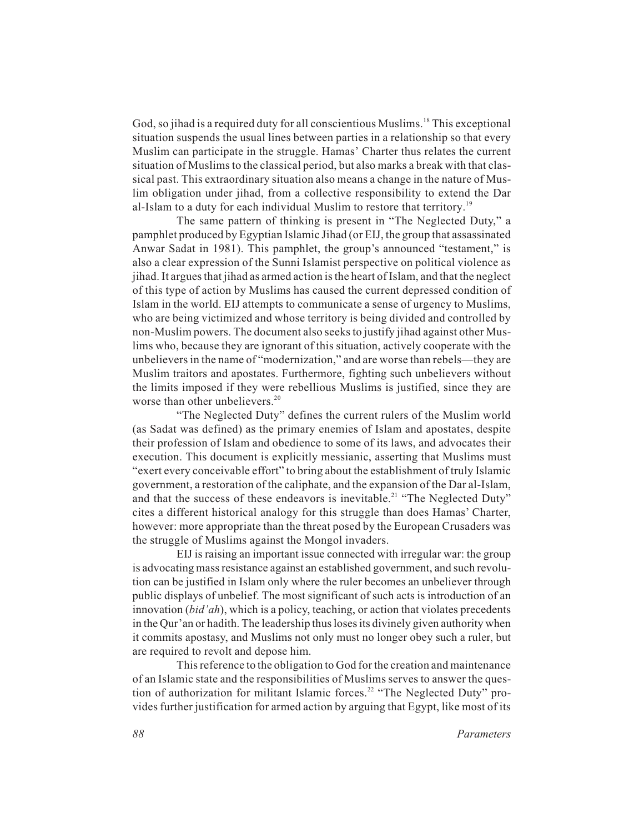God, so jihad is a required duty for all conscientious Muslims.<sup>18</sup> This exceptional situation suspends the usual lines between parties in a relationship so that every Muslim can participate in the struggle. Hamas' Charter thus relates the current situation of Muslims to the classical period, but also marks a break with that classical past. This extraordinary situation also means a change in the nature of Muslim obligation under jihad, from a collective responsibility to extend the Dar al-Islam to a duty for each individual Muslim to restore that territory.<sup>19</sup>

The same pattern of thinking is present in "The Neglected Duty," a pamphlet produced by Egyptian Islamic Jihad (or EIJ, the group that assassinated Anwar Sadat in 1981). This pamphlet, the group's announced "testament," is also a clear expression of the Sunni Islamist perspective on political violence as jihad. It argues that jihad as armed action is the heart of Islam, and that the neglect of this type of action by Muslims has caused the current depressed condition of Islam in the world. EIJ attempts to communicate a sense of urgency to Muslims, who are being victimized and whose territory is being divided and controlled by non-Muslim powers. The document also seeks to justify jihad against other Muslims who, because they are ignorant of this situation, actively cooperate with the unbelievers in the name of "modernization," and are worse than rebels—they are Muslim traitors and apostates. Furthermore, fighting such unbelievers without the limits imposed if they were rebellious Muslims is justified, since they are worse than other unbelievers.<sup>20</sup>

"The Neglected Duty" defines the current rulers of the Muslim world (as Sadat was defined) as the primary enemies of Islam and apostates, despite their profession of Islam and obedience to some of its laws, and advocates their execution. This document is explicitly messianic, asserting that Muslims must "exert every conceivable effort" to bring about the establishment of truly Islamic government, a restoration of the caliphate, and the expansion of the Dar al-Islam, and that the success of these endeavors is inevitable.<sup>21</sup> "The Neglected Duty" cites a different historical analogy for this struggle than does Hamas' Charter, however: more appropriate than the threat posed by the European Crusaders was the struggle of Muslims against the Mongol invaders.

EIJ is raising an important issue connected with irregular war: the group is advocating mass resistance against an established government, and such revolution can be justified in Islam only where the ruler becomes an unbeliever through public displays of unbelief. The most significant of such acts is introduction of an innovation (*bid'ah*), which is a policy, teaching, or action that violates precedents in the Qur'an or hadith. The leadership thus loses its divinely given authority when it commits apostasy, and Muslims not only must no longer obey such a ruler, but are required to revolt and depose him.

This reference to the obligation to God for the creation and maintenance of an Islamic state and the responsibilities of Muslims serves to answer the question of authorization for militant Islamic forces.<sup>22</sup> "The Neglected Duty" provides further justification for armed action by arguing that Egypt, like most of its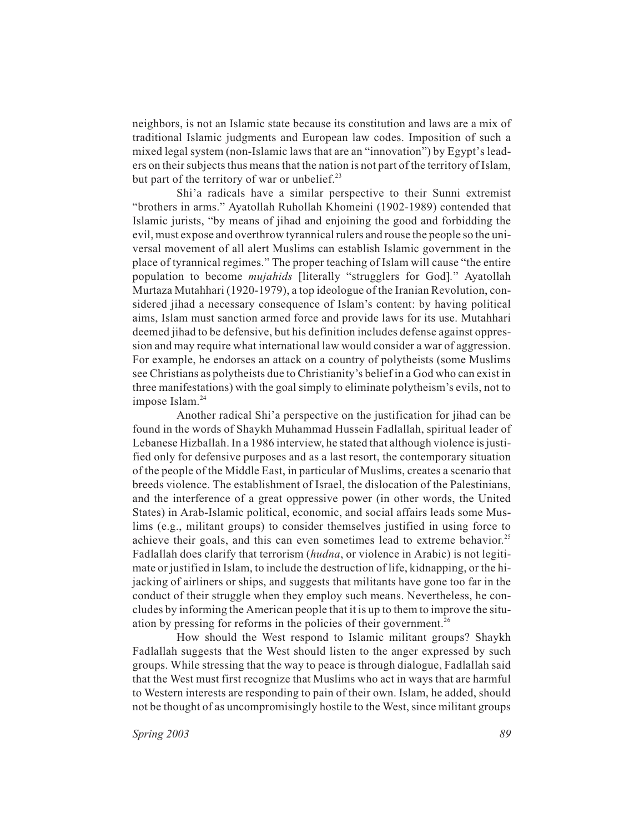neighbors, is not an Islamic state because its constitution and laws are a mix of traditional Islamic judgments and European law codes. Imposition of such a mixed legal system (non-Islamic laws that are an "innovation") by Egypt's leaders on their subjects thus means that the nation is not part of the territory of Islam, but part of the territory of war or unbelief. $^{23}$ 

Shi'a radicals have a similar perspective to their Sunni extremist "brothers in arms." Ayatollah Ruhollah Khomeini (1902-1989) contended that Islamic jurists, "by means of jihad and enjoining the good and forbidding the evil, must expose and overthrow tyrannical rulers and rouse the people so the universal movement of all alert Muslims can establish Islamic government in the place of tyrannical regimes." The proper teaching of Islam will cause "the entire population to become *mujahids* [literally "strugglers for God]*.*" Ayatollah Murtaza Mutahhari (1920-1979), a top ideologue of the Iranian Revolution, considered jihad a necessary consequence of Islam's content: by having political aims, Islam must sanction armed force and provide laws for its use. Mutahhari deemed jihad to be defensive, but his definition includes defense against oppression and may require what international law would consider a war of aggression. For example, he endorses an attack on a country of polytheists (some Muslims see Christians as polytheists due to Christianity's belief in a God who can exist in three manifestations) with the goal simply to eliminate polytheism's evils, not to impose Islam. $24$ 

Another radical Shi'a perspective on the justification for jihad can be found in the words of Shaykh Muhammad Hussein Fadlallah, spiritual leader of Lebanese Hizballah. In a 1986 interview, he stated that although violence is justified only for defensive purposes and as a last resort, the contemporary situation of the people of the Middle East, in particular of Muslims, creates a scenario that breeds violence. The establishment of Israel, the dislocation of the Palestinians, and the interference of a great oppressive power (in other words, the United States) in Arab-Islamic political, economic, and social affairs leads some Muslims (e.g., militant groups) to consider themselves justified in using force to achieve their goals, and this can even sometimes lead to extreme behavior.<sup>25</sup> Fadlallah does clarify that terrorism (*hudna*, or violence in Arabic) is not legitimate or justified in Islam, to include the destruction of life, kidnapping, or the hijacking of airliners or ships, and suggests that militants have gone too far in the conduct of their struggle when they employ such means. Nevertheless, he concludes by informing the American people that it is up to them to improve the situation by pressing for reforms in the policies of their government.<sup>26</sup>

How should the West respond to Islamic militant groups? Shaykh Fadlallah suggests that the West should listen to the anger expressed by such groups. While stressing that the way to peace is through dialogue, Fadlallah said that the West must first recognize that Muslims who act in ways that are harmful to Western interests are responding to pain of their own. Islam, he added, should not be thought of as uncompromisingly hostile to the West, since militant groups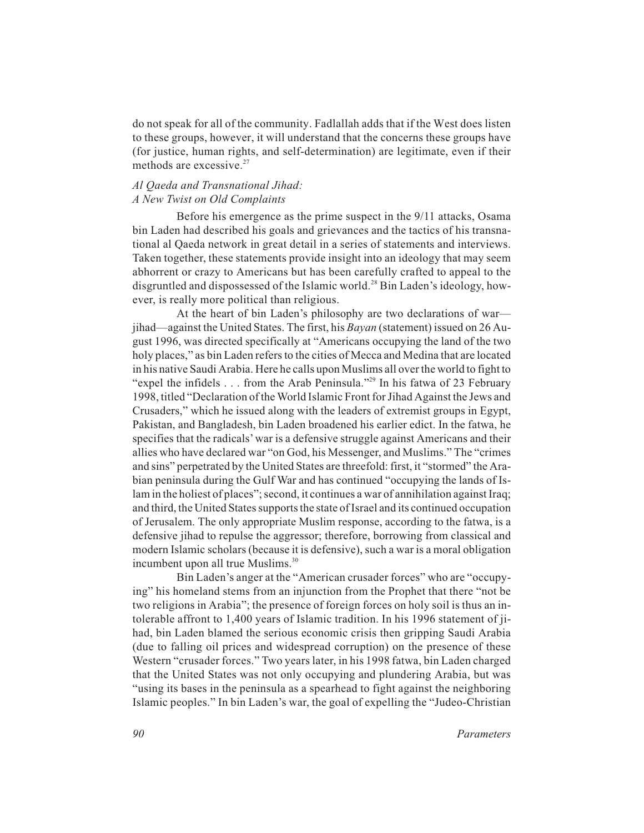do not speak for all of the community. Fadlallah adds that if the West does listen to these groups, however, it will understand that the concerns these groups have (for justice, human rights, and self-determination) are legitimate, even if their methods are excessive.<sup>27</sup>

# *Al Qaeda and Transnational Jihad: A New Twist on Old Complaints*

Before his emergence as the prime suspect in the 9/11 attacks, Osama bin Laden had described his goals and grievances and the tactics of his transnational al Qaeda network in great detail in a series of statements and interviews. Taken together, these statements provide insight into an ideology that may seem abhorrent or crazy to Americans but has been carefully crafted to appeal to the disgruntled and dispossessed of the Islamic world.<sup>28</sup> Bin Laden's ideology, however, is really more political than religious.

At the heart of bin Laden's philosophy are two declarations of war jihad—against the United States. The first, his *Bayan* (statement) issued on 26 August 1996, was directed specifically at "Americans occupying the land of the two holy places," as bin Laden refers to the cities of Mecca and Medina that are located in his native Saudi Arabia. Here he calls upon Muslims all over the world to fight to "expel the infidels . . . from the Arab Peninsula."<sup>29</sup> In his fatwa of 23 February 1998, titled "Declaration of the World Islamic Front for Jihad Against the Jews and Crusaders," which he issued along with the leaders of extremist groups in Egypt, Pakistan, and Bangladesh, bin Laden broadened his earlier edict. In the fatwa, he specifies that the radicals' war is a defensive struggle against Americans and their allies who have declared war "on God, his Messenger, and Muslims." The "crimes and sins" perpetrated by the United States are threefold: first, it "stormed" the Arabian peninsula during the Gulf War and has continued "occupying the lands of Islam in the holiest of places"; second, it continues a war of annihilation against Iraq; and third, the United States supports the state of Israel and its continued occupation of Jerusalem. The only appropriate Muslim response, according to the fatwa, is a defensive jihad to repulse the aggressor; therefore, borrowing from classical and modern Islamic scholars (because it is defensive), such a war is a moral obligation incumbent upon all true Muslims.<sup>30</sup>

Bin Laden's anger at the "American crusader forces" who are "occupying" his homeland stems from an injunction from the Prophet that there "not be two religions in Arabia"; the presence of foreign forces on holy soil is thus an intolerable affront to 1,400 years of Islamic tradition. In his 1996 statement of jihad, bin Laden blamed the serious economic crisis then gripping Saudi Arabia (due to falling oil prices and widespread corruption) on the presence of these Western "crusader forces." Two years later, in his 1998 fatwa, bin Laden charged that the United States was not only occupying and plundering Arabia, but was "using its bases in the peninsula as a spearhead to fight against the neighboring Islamic peoples." In bin Laden's war, the goal of expelling the "Judeo-Christian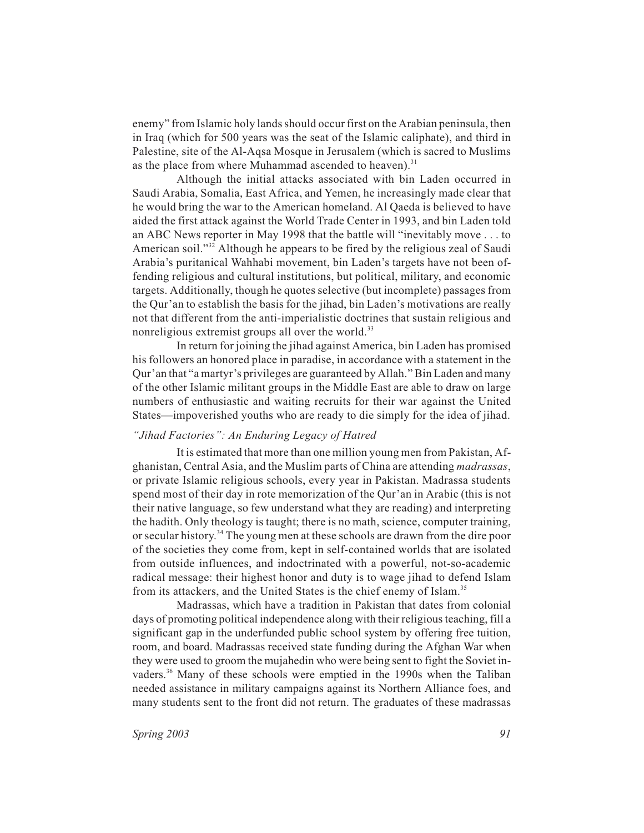enemy" from Islamic holy lands should occur first on the Arabian peninsula, then in Iraq (which for 500 years was the seat of the Islamic caliphate), and third in Palestine, site of the Al-Aqsa Mosque in Jerusalem (which is sacred to Muslims as the place from where Muhammad ascended to heaven). $31$ 

Although the initial attacks associated with bin Laden occurred in Saudi Arabia, Somalia, East Africa, and Yemen, he increasingly made clear that he would bring the war to the American homeland. Al Qaeda is believed to have aided the first attack against the World Trade Center in 1993, and bin Laden told an ABC News reporter in May 1998 that the battle will "inevitably move . . . to American soil."<sup>32</sup> Although he appears to be fired by the religious zeal of Saudi Arabia's puritanical Wahhabi movement, bin Laden's targets have not been offending religious and cultural institutions, but political, military, and economic targets. Additionally, though he quotes selective (but incomplete) passages from the Qur'an to establish the basis for the jihad, bin Laden's motivations are really not that different from the anti-imperialistic doctrines that sustain religious and nonreligious extremist groups all over the world.<sup>33</sup>

In return for joining the jihad against America, bin Laden has promised his followers an honored place in paradise, in accordance with a statement in the Qur'an that "a martyr's privileges are guaranteed by Allah." Bin Laden and many of the other Islamic militant groups in the Middle East are able to draw on large numbers of enthusiastic and waiting recruits for their war against the United States—impoverished youths who are ready to die simply for the idea of jihad.

# *"Jihad Factories": An Enduring Legacy of Hatred*

It is estimated that more than one million young men from Pakistan, Afghanistan, Central Asia, and the Muslim parts of China are attending *madrassas*, or private Islamic religious schools, every year in Pakistan. Madrassa students spend most of their day in rote memorization of the Qur'an in Arabic (this is not their native language, so few understand what they are reading) and interpreting the hadith. Only theology is taught; there is no math, science, computer training, or secular history.<sup>34</sup> The young men at these schools are drawn from the dire poor of the societies they come from, kept in self-contained worlds that are isolated from outside influences, and indoctrinated with a powerful, not-so-academic radical message: their highest honor and duty is to wage jihad to defend Islam from its attackers, and the United States is the chief enemy of Islam.<sup>35</sup>

Madrassas, which have a tradition in Pakistan that dates from colonial days of promoting political independence along with their religious teaching, fill a significant gap in the underfunded public school system by offering free tuition, room, and board. Madrassas received state funding during the Afghan War when they were used to groom the mujahedin who were being sent to fight the Soviet invaders.<sup>36</sup> Many of these schools were emptied in the 1990s when the Taliban needed assistance in military campaigns against its Northern Alliance foes, and many students sent to the front did not return. The graduates of these madrassas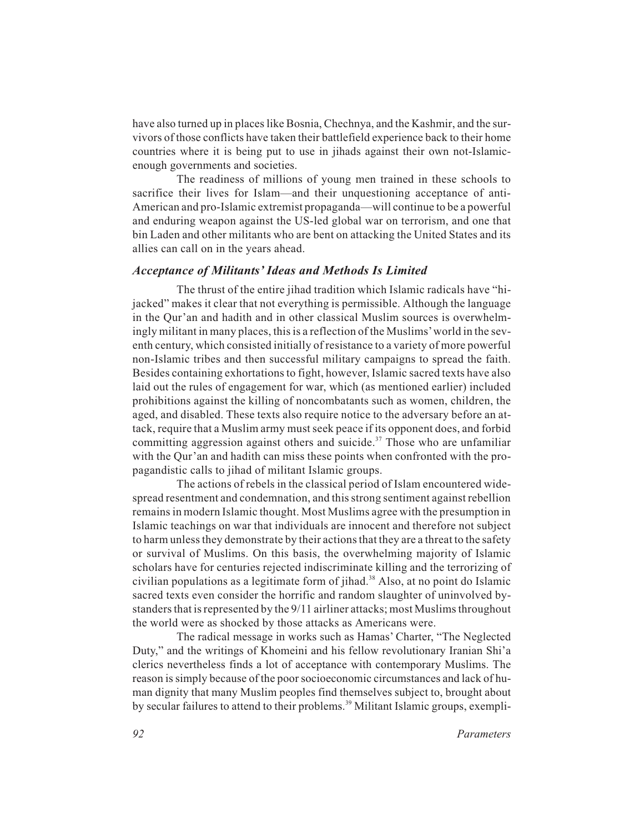have also turned up in places like Bosnia, Chechnya, and the Kashmir, and the survivors of those conflicts have taken their battlefield experience back to their home countries where it is being put to use in jihads against their own not-Islamicenough governments and societies.

The readiness of millions of young men trained in these schools to sacrifice their lives for Islam—and their unquestioning acceptance of anti-American and pro-Islamic extremist propaganda—will continue to be a powerful and enduring weapon against the US-led global war on terrorism, and one that bin Laden and other militants who are bent on attacking the United States and its allies can call on in the years ahead.

#### *Acceptance of Militants' Ideas and Methods Is Limited*

The thrust of the entire jihad tradition which Islamic radicals have "hijacked" makes it clear that not everything is permissible. Although the language in the Qur'an and hadith and in other classical Muslim sources is overwhelmingly militant in many places, this is a reflection of the Muslims'world in the seventh century, which consisted initially of resistance to a variety of more powerful non-Islamic tribes and then successful military campaigns to spread the faith. Besides containing exhortations to fight, however, Islamic sacred texts have also laid out the rules of engagement for war, which (as mentioned earlier) included prohibitions against the killing of noncombatants such as women, children, the aged, and disabled. These texts also require notice to the adversary before an attack, require that a Muslim army must seek peace if its opponent does, and forbid committing aggression against others and suicide.<sup>37</sup> Those who are unfamiliar with the Qur'an and hadith can miss these points when confronted with the propagandistic calls to jihad of militant Islamic groups.

The actions of rebels in the classical period of Islam encountered widespread resentment and condemnation, and this strong sentiment against rebellion remains in modern Islamic thought. Most Muslims agree with the presumption in Islamic teachings on war that individuals are innocent and therefore not subject to harm unless they demonstrate by their actions that they are a threat to the safety or survival of Muslims. On this basis, the overwhelming majority of Islamic scholars have for centuries rejected indiscriminate killing and the terrorizing of civilian populations as a legitimate form of jihad.<sup>38</sup> Also, at no point do Islamic sacred texts even consider the horrific and random slaughter of uninvolved bystanders that is represented by the 9/11 airliner attacks; most Muslims throughout the world were as shocked by those attacks as Americans were.

The radical message in works such as Hamas' Charter, "The Neglected Duty," and the writings of Khomeini and his fellow revolutionary Iranian Shi'a clerics nevertheless finds a lot of acceptance with contemporary Muslims. The reason is simply because of the poor socioeconomic circumstances and lack of human dignity that many Muslim peoples find themselves subject to, brought about by secular failures to attend to their problems.<sup>39</sup> Militant Islamic groups, exempli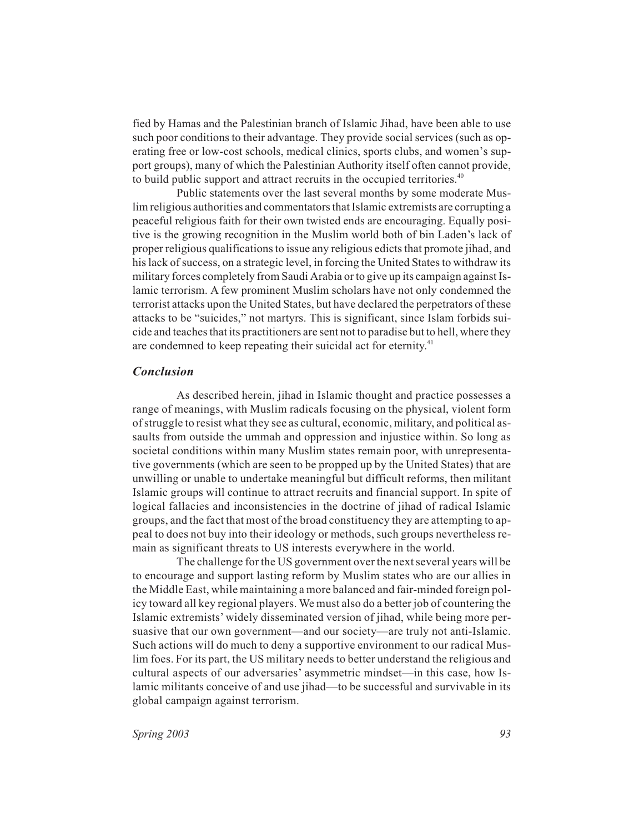fied by Hamas and the Palestinian branch of Islamic Jihad, have been able to use such poor conditions to their advantage. They provide social services (such as operating free or low-cost schools, medical clinics, sports clubs, and women's support groups), many of which the Palestinian Authority itself often cannot provide, to build public support and attract recruits in the occupied territories.<sup>40</sup>

Public statements over the last several months by some moderate Muslim religious authorities and commentators that Islamic extremists are corrupting a peaceful religious faith for their own twisted ends are encouraging. Equally positive is the growing recognition in the Muslim world both of bin Laden's lack of proper religious qualifications to issue any religious edicts that promote jihad, and his lack of success, on a strategic level, in forcing the United States to withdraw its military forces completely from Saudi Arabia or to give up its campaign against Islamic terrorism. A few prominent Muslim scholars have not only condemned the terrorist attacks upon the United States, but have declared the perpetrators of these attacks to be "suicides," not martyrs. This is significant, since Islam forbids suicide and teaches that its practitioners are sent not to paradise but to hell, where they are condemned to keep repeating their suicidal act for eternity.<sup>41</sup>

# *Conclusion*

As described herein, jihad in Islamic thought and practice possesses a range of meanings, with Muslim radicals focusing on the physical, violent form of struggle to resist what they see as cultural, economic, military, and political assaults from outside the ummah and oppression and injustice within. So long as societal conditions within many Muslim states remain poor, with unrepresentative governments (which are seen to be propped up by the United States) that are unwilling or unable to undertake meaningful but difficult reforms, then militant Islamic groups will continue to attract recruits and financial support. In spite of logical fallacies and inconsistencies in the doctrine of jihad of radical Islamic groups, and the fact that most of the broad constituency they are attempting to appeal to does not buy into their ideology or methods, such groups nevertheless remain as significant threats to US interests everywhere in the world.

The challenge for the US government over the next several years will be to encourage and support lasting reform by Muslim states who are our allies in the Middle East, while maintaining a more balanced and fair-minded foreign policy toward all key regional players. We must also do a better job of countering the Islamic extremists' widely disseminated version of jihad, while being more persuasive that our own government—and our society—are truly not anti-Islamic. Such actions will do much to deny a supportive environment to our radical Muslim foes. For its part, the US military needs to better understand the religious and cultural aspects of our adversaries' asymmetric mindset—in this case, how Islamic militants conceive of and use jihad—to be successful and survivable in its global campaign against terrorism.